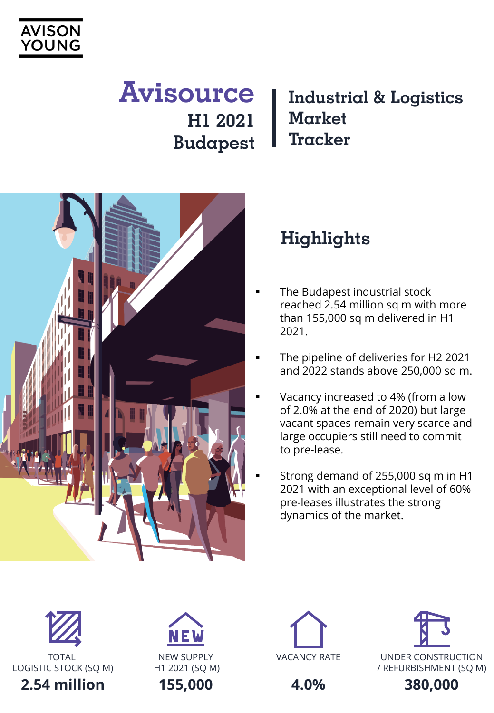

# **Avisource H1 2021 Budapest**

### **Industrial & Logistics Market Tracker**



## **Highlights**

- The Budapest industrial stock reached 2.54 million sq m with more than 155,000 sq m delivered in H1 2021.
- The pipeline of deliveries for H2 2021 and 2022 stands above 250,000 sq m.
- Vacancy increased to 4% (from a low of 2.0% at the end of 2020) but large vacant spaces remain very scarce and large occupiers still need to commit to pre-lease.
- Strong demand of 255,000 sq m in H1 2021 with an exceptional level of 60% pre-leases illustrates the strong dynamics of the market.



LOGISTIC STOCK (SO M)





**4.0%**

**380,000**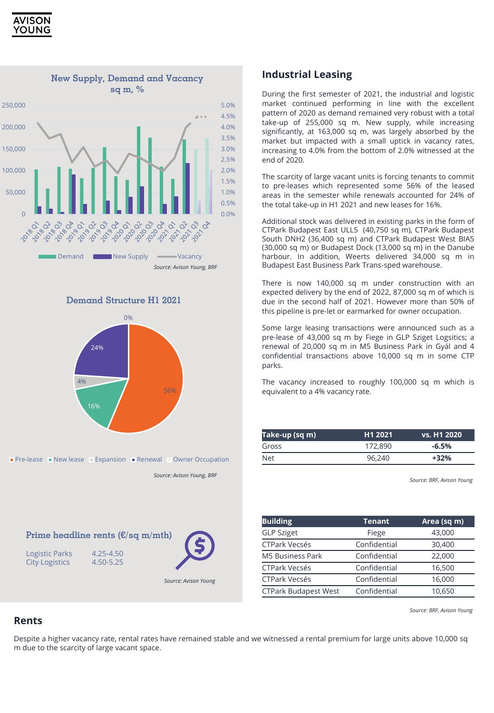







**Prime headline rents (€/sq m/mth)**

Logistic Parks 4.25-4.50<br>City Logistics 4.50-5.25

**City Logistics** 

*Source: Avison Young, BRF*

*Source: Avison Young*

#### **Industrial Leasing**

During the first semester of 2021, the industrial and logistic market continued performing in line with the excellent pattern of 2020 as demand remained very robust with a total take-up of 255,000 sq m. New supply, while increasing significantly, at 163,000 sq m, was largely absorbed by the market but impacted with a small uptick in vacancy rates, increasing to 4.0% from the bottom of 2.0% witnessed at the end of 2020.

The scarcity of large vacant units is forcing tenants to commit to pre-leases which represented some 56% of the leased areas in the semester while renewals accounted for 24% of the total take-up in H1 2021 and new leases for 16%.

Additional stock was delivered in existing parks in the form of CTPark Budapest East ULL5 (40,750 sq m), CTPark Budapest South DNH2 (36,400 sq m) and CTPark Budapest West BIA5 (30,000 sq m) or Budapest Dock (13,000 sq m) in the Danube harbour. In addition, Weerts delivered 34,000 sq m in Budapest East Business Park Trans-sped warehouse.

There is now 140,000 sq m under construction with an expected delivery by the end of 2022, 87,000 sq m of which is due in the second half of 2021. However more than 50% of this pipeline is pre-let or earmarked for owner occupation.

Some large leasing transactions were announced such as a pre-lease of 43,000 sq m by Fiege in GLP Sziget Logsitics; a renewal of 20,000 sq m in M5 Business Park in Gyál and 4 confidential transactions above 10,000 sq m in some CTP parks.

The vacancy increased to roughly 100,000 sq m which is equivalent to a 4% vacancy rate.

| Take-up (sq m) | H <sub>1</sub> 2021 | vs. H1 2020 |
|----------------|---------------------|-------------|
| Gross          | 172,890             | $-6.5%$     |
| Net            | 96.240              | $+32%$      |

*Source: BRF, Avison Young*

| <b>Building</b>             | <b>Tenant</b> | Area (sq m) |
|-----------------------------|---------------|-------------|
| <b>GLP Sziget</b>           | Fiege         | 43,000      |
| <b>CTPark Vecsés</b>        | Confidential  | 30,400      |
| <b>M5 Business Park</b>     | Confidential  | 22,000      |
| <b>CTPark Vecsés</b>        | Confidential  | 16,500      |
| <b>CTPark Vecsés</b>        | Confidential  | 16,000      |
| <b>CTPark Budapest West</b> | Confidential  | 10,650      |

*Source: BRF, Avison Young*

#### **Rents**

Despite a higher vacancy rate, rental rates have remained stable and we witnessed a rental premium for large units above 10,000 sq m due to the scarcity of large vacant space.